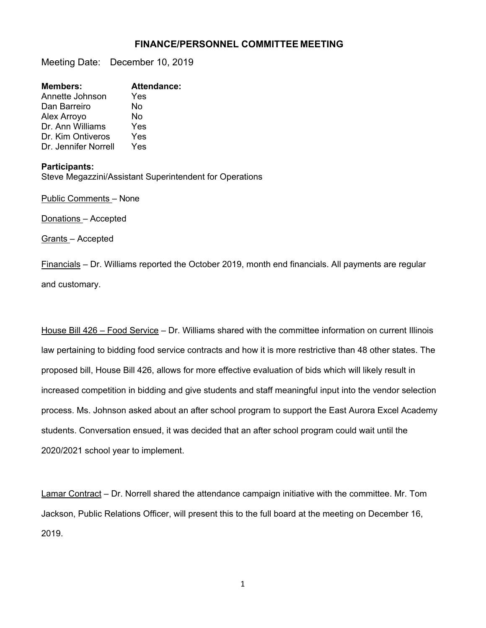## **FINANCE/PERSONNEL COMMITTEE MEETING**

Meeting Date: December 10, 2019

| <b>Members:</b>      | <b>Attendance:</b> |
|----------------------|--------------------|
| Annette Johnson      | Yes                |
| Dan Barreiro         | No                 |
| Alex Arroyo          | No                 |
| Dr. Ann Williams     | Yes                |
| Dr. Kim Ontiveros    | Yes                |
| Dr. Jennifer Norrell | Yes                |
|                      |                    |

## **Participants:**

Steve Megazzini/Assistant Superintendent for Operations

Public Comments – None

Donations – Accepted

Grants – Accepted

Financials – Dr. Williams reported the October 2019, month end financials. All payments are regular and customary.

House Bill 426 – Food Service – Dr. Williams shared with the committee information on current Illinois law pertaining to bidding food service contracts and how it is more restrictive than 48 other states. The proposed bill, House Bill 426, allows for more effective evaluation of bids which will likely result in increased competition in bidding and give students and staff meaningful input into the vendor selection process. Ms. Johnson asked about an after school program to support the East Aurora Excel Academy students. Conversation ensued, it was decided that an after school program could wait until the 2020/2021 school year to implement.

Lamar Contract – Dr. Norrell shared the attendance campaign initiative with the committee. Mr. Tom Jackson, Public Relations Officer, will present this to the full board at the meeting on December 16, 2019.